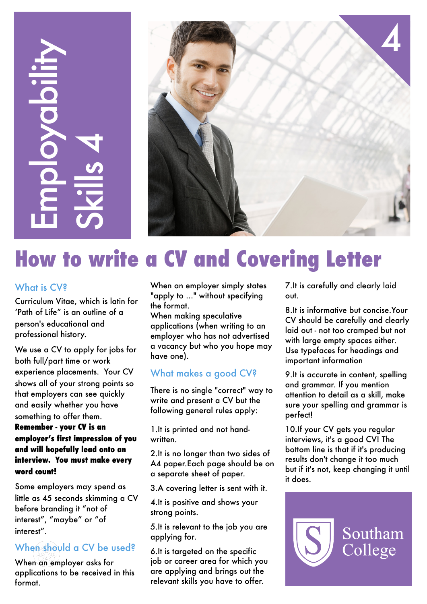# **Example 18 Controlled Controlled Controlled Controlled Controlled Controlled Controlled Controlled Controlled Controlled Controlled Controlled Controlled Controlled Controlled Controlled Controlled Controlled Controlled C** ployald



# **How to write a CV and Covering Letter**

# What is CV?

Curriculum Vitae, which is latin for 'Path of Life" is an outline of a person's educational and professional history.

We use a CV to apply for jobs for both full/part time or work experience placements. Your CV shows all of your strong points so that employers can see quickly and easily whether you have something to offer them.

# **Remember - your CV is an employer's first impression of you and will hopefully lead onto an interview. You must make every word count!**

interest", "maybe" or "of Some employers may spend as little as 45 seconds skimming a CV before branding it "not of interest".

# When should a CV be used?

When an employer asks for applications to be received in this format.

When an employer simply states "apply to ..." without specifying the format.

When making speculative applications (when writing to an employer who has not advertised a vacancy but who you hope may have one).

# What makes a good CV?

There is no single "correct" way to write and present a CV but the following general rules apply:

1.It is printed and not handwritten.

2.It is no longer than two sides of A4 paper.Each page should be on a separate sheet of paper.

3.A covering letter is sent with it.

4.It is positive and shows your strong points.

5.It is relevant to the job you are applying for.

6.It is targeted on the specific job or career area for which you are applying and brings out the relevant skills you have to offer.

7.It is carefully and clearly laid out.

8.It is informative but concise.Your CV should be carefully and clearly laid out - not too cramped but not with large empty spaces either. Use typefaces for headings and important information

9.It is accurate in content, spelling and grammar. If you mention attention to detail as a skill, make sure your spelling and grammar is perfect!

10.If your CV gets you regular interviews, it's a good CV! The bottom line is that if it's producing results don't change it too much but if it's not, keep changing it until it does.

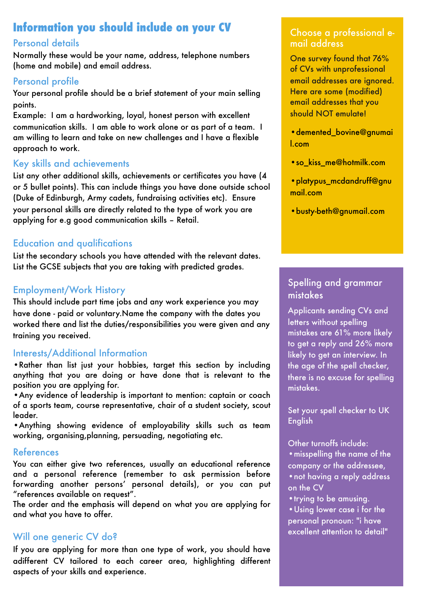# **Information you should include on your CV**

# Personal details

Normally these would be your name, address, telephone numbers (home and mobile) and email address.

# Personal profile

Your personal profile should be a brief statement of your main selling points.

Example: I am a hardworking, loyal, honest person with excellent communication skills. I am able to work alone or as part of a team. I am willing to learn and take on new challenges and I have a flexible approach to work.

# Key skills and achievements

List any other additional skills, achievements or certificates you have (4 or 5 bullet points). This can include things you have done outside school (Duke of Edinburgh, Army cadets, fundraising activities etc). Ensure your personal skills are directly related to the type of work you are applying for e.g good communication skills – Retail.

# Education and qualifications

List the secondary schools you have attended with the relevant dates. List the GCSE subjects that you are taking with predicted grades.

# Employment/Work History

This should include part time jobs and any work experience you may have done - paid or voluntary.Name the company with the dates you worked there and list the duties/responsibilities you were given and any training you received.

# Interests/Additional Information

•Rather than list just your hobbies, target this section by including anything that you are doing or have done that is relevant to the position you are applying for.

•Any evidence of [leadership](http://www.kent.ac.uk/careers/sk/leadership.htm) is important to mention: captain or coach of a sports team, course representative, chair of a student society, scout leader.

•Anything showing evidence of [employability skills](http://www.kent.ac.uk/careers/sk/skillsmenu.htm) such as team working, organising,planning, persuading, negotiating etc.

# References

You can either give two references, usually an educational reference and a personal reference (remember to ask permission before forwarding another persons' personal details), or you can put "references available on request".

The order and the emphasis will depend on what you are applying for and what you have to offer.

# Will one generic CV do?

If you are applying for more than one type of work, you should have adifferent CV tailored to each career area, highlighting different aspects of your skills and experience.

# Choose a professional email address

One survey found that 76% of CVs with unprofessional email addresses are ignored. Here are some (modified) email addresses that you should NOT emulate!

•[demented\\_bovine@gnumai](mailto:demented_bovine@gnumail.com) [l.com](mailto:demented_bovine@gnumail.com)

- •[so\\_kiss\\_me@hotmilk.com](mailto:so_kiss_me@hotmilk.com)
- •[platypus\\_mcdandruff@gnu](mailto:platypus_mcdandruff@gnumail.com) [mail.com](mailto:platypus_mcdandruff@gnumail.com)
- •[busty-beth@gnumail.com](mailto:busty_beth@hotmilk.com)

# Spelling and grammar mistakes

Applicants sending CVs and letters without spelling mistakes are 61% more likely to get a reply and 26% more likely to get an interview. In the age of the spell checker, there is no excuse for spelling mistakes.

Set your spell checker to UK **English** 

Other turnoffs include:

- •misspelling the name of the
- company or the addressee,
- •not having a reply address on the CV
- trying to be amusing.

•Using lower case i for the personal pronoun: "i have excellent attention to detail"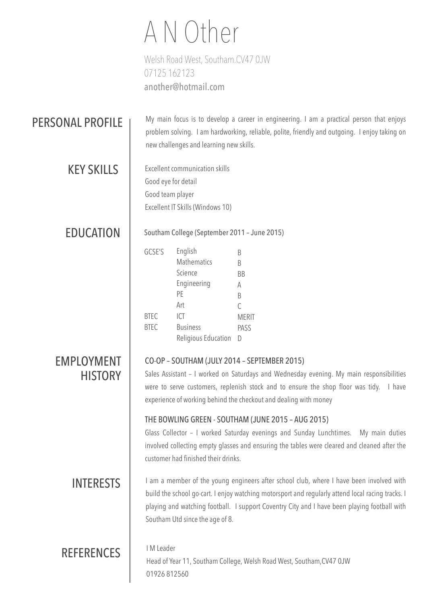# A N Other

Welsh Road West, Southam.CV47 0JW 07125 162123 [another@hotmail.com](mailto:another@hotmail.com)

# PERSONAL PROFILE

My main focus is to develop a career in engineering. I am a practical person that enjoys problem solving. I am hardworking, reliable, polite, friendly and outgoing. I enjoy taking on new challenges and learning new skills.

KEY SKILLS

Excellent communication skills Good eye for detail Good team player Excellent IT Skills (Windows 10)

EDUCATION | Southam College (September 2011 - June 2015)

| GCSE'S      | English             | В            |
|-------------|---------------------|--------------|
|             | <b>Mathematics</b>  | B            |
|             | Science             | ВB           |
|             | Engineering         | А            |
|             | PF                  | R            |
|             | Art                 | C            |
| <b>BTEC</b> | ICT                 | <b>MFRIT</b> |
| <b>BTEC</b> | <b>Business</b>     | PASS         |
|             | Religious Education |              |

# EMPLOYMENT **HISTORY**

# CO-OP – SOUTHAM (JULY 2014 – SEPTEMBER 2015)

Sales Assistant – I worked on Saturdays and Wednesday evening. My main responsibilities were to serve customers, replenish stock and to ensure the shop floor was tidy. I have experience of working behind the checkout and dealing with money

# THE BOWLING GREEN - SOUTHAM (JUNE 2015 – AUG 2015)

Glass Collector – I worked Saturday evenings and Sunday Lunchtimes. My main duties involved collecting empty glasses and ensuring the tables were cleared and cleaned after the customer had finished their drinks.

INTERESTS I am a member of the young engineers after school club, where I have been involved with build the school go-cart. I enjoy watching motorsport and regularly attend local racing tracks. I playing and watching football. I support Coventry City and I have been playing football with Southam Utd since the age of 8.

# REFERENCES | IM Leader

Head of Year 11, Southam College, Welsh Road West, Southam,CV47 0JW 01926 812560